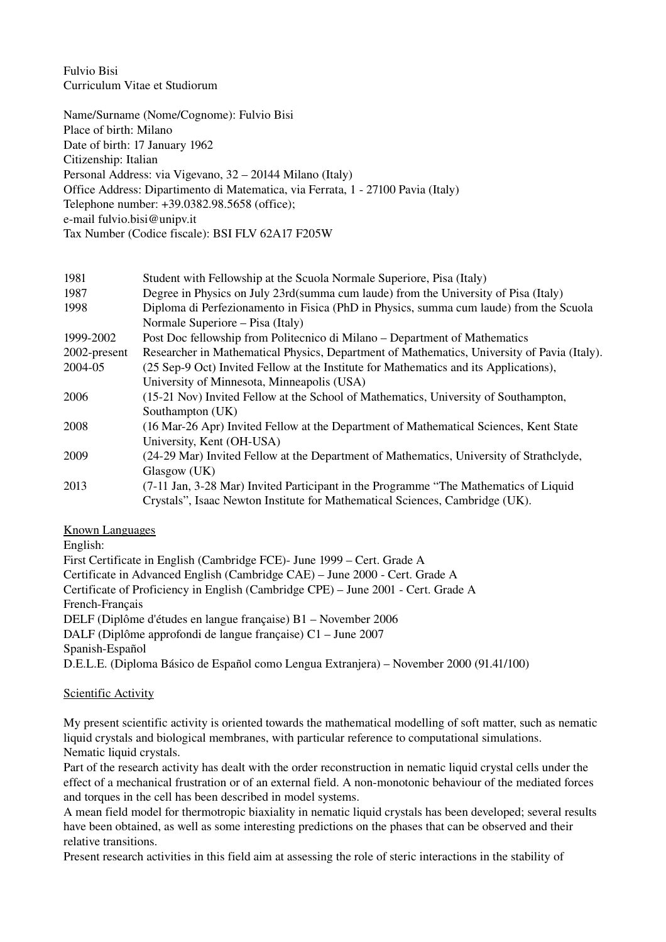Fulvio Bisi Curriculum Vitae et Studiorum

Name/Surname (Nome/Cognome): Fulvio Bisi Place of birth: Milano Date of birth: 17 January 1962 Citizenship: Italian Personal Address: via Vigevano, 32 – 20144 Milano (Italy) Office Address: Dipartimento di Matematica, via Ferrata, 1 - 27100 Pavia (Italy) Telephone number: +39.0382.98.5658 (office); email fulvio.bisi@unipv.it Tax Number (Codice fiscale): BSI FLV 62A17 F205W

| 1981         | Student with Fellowship at the Scuola Normale Superiore, Pisa (Italy)                       |
|--------------|---------------------------------------------------------------------------------------------|
| 1987         | Degree in Physics on July 23rd(summa cum laude) from the University of Pisa (Italy)         |
| 1998         | Diploma di Perfezionamento in Fisica (PhD in Physics, summa cum laude) from the Scuola      |
|              | Normale Superiore – Pisa (Italy)                                                            |
| 1999-2002    | Post Doc fellowship from Politecnico di Milano – Department of Mathematics                  |
| 2002-present | Researcher in Mathematical Physics, Department of Mathematics, University of Pavia (Italy). |
| 2004-05      | (25 Sep-9 Oct) Invited Fellow at the Institute for Mathematics and its Applications),       |
|              | University of Minnesota, Minneapolis (USA)                                                  |
| 2006         | (15-21 Nov) Invited Fellow at the School of Mathematics, University of Southampton,         |
|              | Southampton (UK)                                                                            |
| 2008         | (16 Mar-26 Apr) Invited Fellow at the Department of Mathematical Sciences, Kent State       |
|              | University, Kent (OH-USA)                                                                   |
| 2009         | (24-29 Mar) Invited Fellow at the Department of Mathematics, University of Strathclyde,     |
|              | Glasgow (UK)                                                                                |
| 2013         | (7-11 Jan, 3-28 Mar) Invited Participant in the Programme "The Mathematics of Liquid        |
|              | Crystals", Isaac Newton Institute for Mathematical Sciences, Cambridge (UK).                |

## Known Languages

English:

First Certificate in English (Cambridge FCE) June 1999 – Cert. Grade A Certificate in Advanced English (Cambridge CAE) – June 2000 Cert. Grade A Certificate of Proficiency in English (Cambridge CPE) – June 2001 Cert. Grade A French-Français DELF (Diplôme d'études en langue française) B1 – November 2006 DALF (Diplôme approfondi de langue française) C1 – June 2007 Spanish-Español D.E.L.E. (Diploma Básico de Español como Lengua Extranjera) – November 2000 (91.41/100)

## Scientific Activity

My present scientific activity is oriented towards the mathematical modelling of soft matter, such as nematic liquid crystals and biological membranes, with particular reference to computational simulations. Nematic liquid crystals.

Part of the research activity has dealt with the order reconstruction in nematic liquid crystal cells under the effect of a mechanical frustration or of an external field. A non-monotonic behaviour of the mediated forces and torques in the cell has been described in model systems.

A mean field model for thermotropic biaxiality in nematic liquid crystals has been developed; several results have been obtained, as well as some interesting predictions on the phases that can be observed and their relative transitions.

Present research activities in this field aim at assessing the role of steric interactions in the stability of